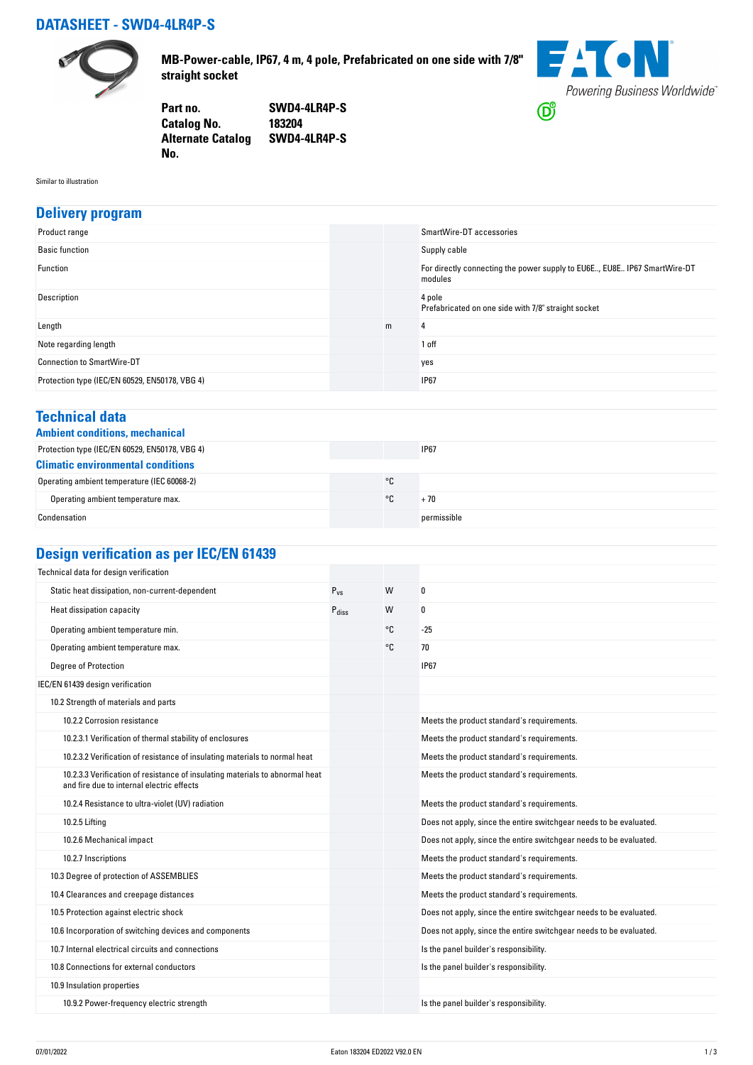## **DATASHEET - SWD4-4LR4P-S**



**MB-Power-cable, IP67, 4 m, 4 pole, Prefabricated on one side with 7/8" straight socket**



**Part no. SWD4-4LR4P-S Catalog No. Alternate Catalog SWD4-4LR4P-S No.** 

Similar to illustration

#### **Delivery program**

| Product range                                  |   | SmartWire-DT accessories                                                            |
|------------------------------------------------|---|-------------------------------------------------------------------------------------|
| <b>Basic function</b>                          |   | Supply cable                                                                        |
| Function                                       |   | For directly connecting the power supply to EU6E, EU8E IP67 SmartWire-DT<br>modules |
| Description                                    |   | 4 pole<br>Prefabricated on one side with 7/8" straight socket                       |
| Length                                         | m | 4                                                                                   |
| Note regarding length                          |   | 1 off                                                                               |
| <b>Connection to SmartWire-DT</b>              |   | yes                                                                                 |
| Protection type (IEC/EN 60529, EN50178, VBG 4) |   | <b>IP67</b>                                                                         |

#### **Technical data**

|  | <b>Ambient conditions, mechanica</b> |
|--|--------------------------------------|
|  |                                      |

| Ambient conditions, mechanical                 |    |             |  |
|------------------------------------------------|----|-------------|--|
| Protection type (IEC/EN 60529, EN50178, VBG 4) |    | <b>IP67</b> |  |
| <b>Climatic environmental conditions</b>       |    |             |  |
| Operating ambient temperature (IEC 60068-2)    | °C |             |  |
| Operating ambient temperature max.             | ۰c | + 70        |  |
| Condensation                                   |    | permissible |  |

# **Design verification as per IEC/EN 61439**

| Technical data for design verification                                                                                    |                   |    |                                                                    |
|---------------------------------------------------------------------------------------------------------------------------|-------------------|----|--------------------------------------------------------------------|
| Static heat dissipation, non-current-dependent                                                                            | $P_{VS}$          | W  | 0                                                                  |
| Heat dissipation capacity                                                                                                 | $P_{\text{diss}}$ | W  | 0                                                                  |
| Operating ambient temperature min.                                                                                        |                   | °C | $-25$                                                              |
| Operating ambient temperature max.                                                                                        |                   | °C | 70                                                                 |
| <b>Degree of Protection</b>                                                                                               |                   |    | <b>IP67</b>                                                        |
| IEC/EN 61439 design verification                                                                                          |                   |    |                                                                    |
| 10.2 Strength of materials and parts                                                                                      |                   |    |                                                                    |
| 10.2.2 Corrosion resistance                                                                                               |                   |    | Meets the product standard's requirements.                         |
| 10.2.3.1 Verification of thermal stability of enclosures                                                                  |                   |    | Meets the product standard's requirements.                         |
| 10.2.3.2 Verification of resistance of insulating materials to normal heat                                                |                   |    | Meets the product standard's requirements.                         |
| 10.2.3.3 Verification of resistance of insulating materials to abnormal heat<br>and fire due to internal electric effects |                   |    | Meets the product standard's requirements.                         |
| 10.2.4 Resistance to ultra-violet (UV) radiation                                                                          |                   |    | Meets the product standard's requirements.                         |
| 10.2.5 Lifting                                                                                                            |                   |    | Does not apply, since the entire switchgear needs to be evaluated. |
| 10.2.6 Mechanical impact                                                                                                  |                   |    | Does not apply, since the entire switchgear needs to be evaluated. |
| 10.2.7 Inscriptions                                                                                                       |                   |    | Meets the product standard's requirements.                         |
| 10.3 Degree of protection of ASSEMBLIES                                                                                   |                   |    | Meets the product standard's requirements.                         |
| 10.4 Clearances and creepage distances                                                                                    |                   |    | Meets the product standard's requirements.                         |
| 10.5 Protection against electric shock                                                                                    |                   |    | Does not apply, since the entire switchgear needs to be evaluated. |
| 10.6 Incorporation of switching devices and components                                                                    |                   |    | Does not apply, since the entire switchgear needs to be evaluated. |
| 10.7 Internal electrical circuits and connections                                                                         |                   |    | Is the panel builder's responsibility.                             |
| 10.8 Connections for external conductors                                                                                  |                   |    | Is the panel builder's responsibility.                             |
| 10.9 Insulation properties                                                                                                |                   |    |                                                                    |
| 10.9.2 Power-frequency electric strength                                                                                  |                   |    | Is the panel builder's responsibility.                             |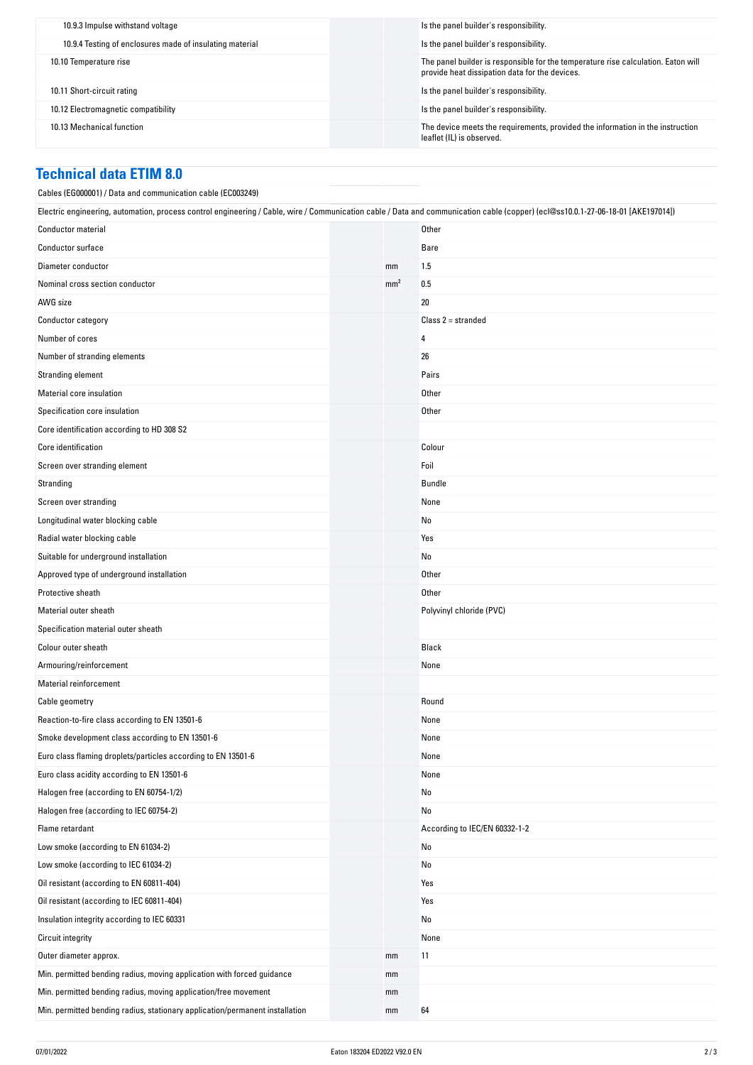| 10.9.3 Impulse withstand voltage                         | Is the panel builder's responsibility.                                                                                              |
|----------------------------------------------------------|-------------------------------------------------------------------------------------------------------------------------------------|
| 10.9.4 Testing of enclosures made of insulating material | Is the panel builder's responsibility.                                                                                              |
| 10.10 Temperature rise                                   | The panel builder is responsible for the temperature rise calculation. Eaton will<br>provide heat dissipation data for the devices. |
| 10.11 Short-circuit rating                               | Is the panel builder's responsibility.                                                                                              |
| 10.12 Electromagnetic compatibility                      | Is the panel builder's responsibility.                                                                                              |
| 10.13 Mechanical function                                | The device meets the requirements, provided the information in the instruction<br>leaflet (IL) is observed.                         |

### **Technical data ETIM 8.0**

| Cables (EG000001) / Data and communication cable (EC003249)                                                                                                                      |                 |                               |
|----------------------------------------------------------------------------------------------------------------------------------------------------------------------------------|-----------------|-------------------------------|
| Electric engineering, automation, process control engineering / Cable, wire / Communication cable / Data and communication cable (copper) (ecl@ss10.0.1-27-06-18-01 [AKE197014]) |                 |                               |
| <b>Conductor material</b>                                                                                                                                                        |                 | Other                         |
| Conductor surface                                                                                                                                                                |                 | Bare                          |
| Diameter conductor                                                                                                                                                               | mm              | 1.5                           |
| Nominal cross section conductor                                                                                                                                                  | mm <sup>2</sup> | 0.5                           |
| AWG size                                                                                                                                                                         |                 | 20                            |
| Conductor category                                                                                                                                                               |                 | $Class 2 = stranded$          |
| Number of cores                                                                                                                                                                  |                 | 4                             |
| Number of stranding elements                                                                                                                                                     |                 | 26                            |
| Stranding element                                                                                                                                                                |                 | Pairs                         |
| Material core insulation                                                                                                                                                         |                 | Other                         |
| Specification core insulation                                                                                                                                                    |                 | Other                         |
| Core identification according to HD 308 S2                                                                                                                                       |                 |                               |
| Core identification                                                                                                                                                              |                 | Colour                        |
| Screen over stranding element                                                                                                                                                    |                 | Foil                          |
| Stranding                                                                                                                                                                        |                 | Bundle                        |
| Screen over stranding                                                                                                                                                            |                 | None                          |
| Longitudinal water blocking cable                                                                                                                                                |                 | No                            |
| Radial water blocking cable                                                                                                                                                      |                 | Yes                           |
| Suitable for underground installation                                                                                                                                            |                 | No                            |
| Approved type of underground installation                                                                                                                                        |                 | Other                         |
| Protective sheath                                                                                                                                                                |                 | Other                         |
| Material outer sheath                                                                                                                                                            |                 | Polyvinyl chloride (PVC)      |
| Specification material outer sheath                                                                                                                                              |                 |                               |
| Colour outer sheath                                                                                                                                                              |                 | Black                         |
| Armouring/reinforcement                                                                                                                                                          |                 | None                          |
| <b>Material reinforcement</b>                                                                                                                                                    |                 |                               |
| Cable geometry                                                                                                                                                                   |                 | Round                         |
| Reaction-to-fire class according to EN 13501-6                                                                                                                                   |                 | None                          |
| Smoke development class according to EN 13501-6                                                                                                                                  |                 | None                          |
| Euro class flaming droplets/particles according to EN 13501-6                                                                                                                    |                 | None                          |
| Euro class acidity according to EN 13501-6                                                                                                                                       |                 | None                          |
| Halogen free (according to EN 60754-1/2)                                                                                                                                         |                 | No                            |
| Halogen free (according to IEC 60754-2)                                                                                                                                          |                 | No                            |
| Flame retardant                                                                                                                                                                  |                 | According to IEC/EN 60332-1-2 |
| Low smoke (according to EN 61034-2)                                                                                                                                              |                 | No                            |
| Low smoke (according to IEC 61034-2)                                                                                                                                             |                 | No                            |
| Oil resistant (according to EN 60811-404)                                                                                                                                        |                 | Yes                           |
| Oil resistant (according to IEC 60811-404)                                                                                                                                       |                 | Yes                           |
| Insulation integrity according to IEC 60331                                                                                                                                      |                 | No                            |
| <b>Circuit integrity</b>                                                                                                                                                         |                 | None                          |
| Outer diameter approx.                                                                                                                                                           | mm              | 11                            |
| Min. permitted bending radius, moving application with forced guidance                                                                                                           | mm              |                               |
| Min. permitted bending radius, moving application/free movement                                                                                                                  | mm              |                               |
| Min. permitted bending radius, stationary application/permanent installation                                                                                                     | mm              | 64                            |